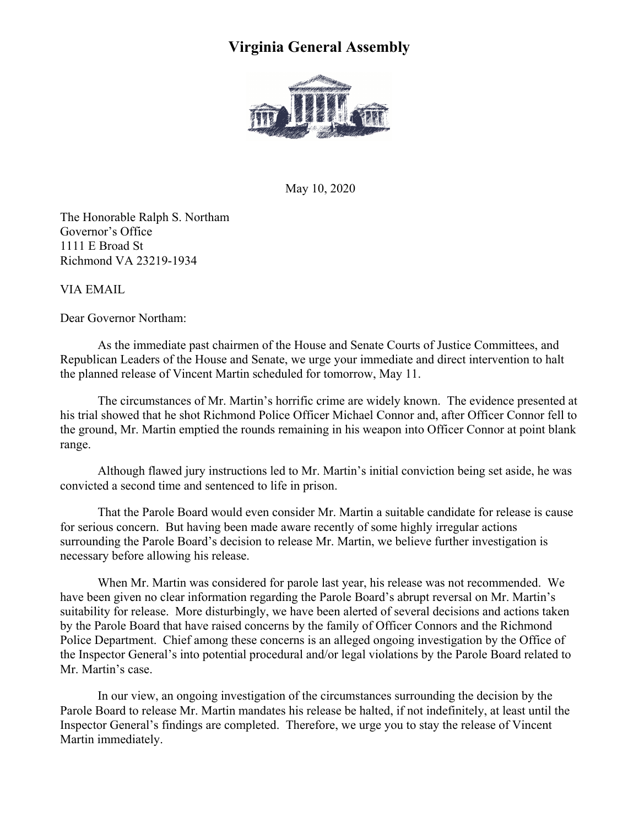## **Virginia General Assembly**



May 10, 2020

The Honorable Ralph S. Northam Governor's Office 1111 E Broad St Richmond VA 23219-1934

VIA EMAIL

Dear Governor Northam:

As the immediate past chairmen of the House and Senate Courts of Justice Committees, and Republican Leaders of the House and Senate, we urge your immediate and direct intervention to halt the planned release of Vincent Martin scheduled for tomorrow, May 11.

The circumstances of Mr. Martin's horrific crime are widely known. The evidence presented at his trial showed that he shot Richmond Police Officer Michael Connor and, after Officer Connor fell to the ground, Mr. Martin emptied the rounds remaining in his weapon into Officer Connor at point blank range.

Although flawed jury instructions led to Mr. Martin's initial conviction being set aside, he was convicted a second time and sentenced to life in prison.

That the Parole Board would even consider Mr. Martin a suitable candidate for release is cause for serious concern. But having been made aware recently of some highly irregular actions surrounding the Parole Board's decision to release Mr. Martin, we believe further investigation is necessary before allowing his release.

When Mr. Martin was considered for parole last year, his release was not recommended. We have been given no clear information regarding the Parole Board's abrupt reversal on Mr. Martin's suitability for release. More disturbingly, we have been alerted of several decisions and actions taken by the Parole Board that have raised concerns by the family of Officer Connors and the Richmond Police Department. Chief among these concerns is an alleged ongoing investigation by the Office of the Inspector General's into potential procedural and/or legal violations by the Parole Board related to Mr. Martin's case.

In our view, an ongoing investigation of the circumstances surrounding the decision by the Parole Board to release Mr. Martin mandates his release be halted, if not indefinitely, at least until the Inspector General's findings are completed. Therefore, we urge you to stay the release of Vincent Martin immediately.